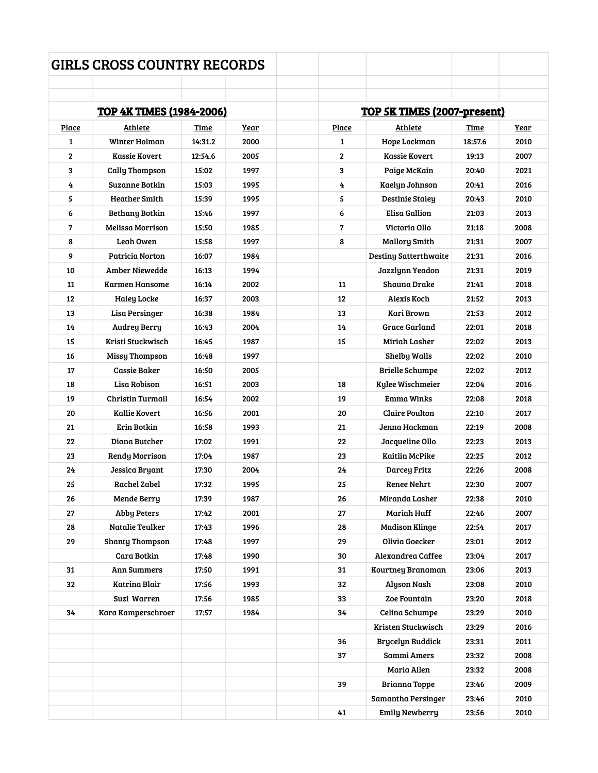|              | <b>GIRLS CROSS COUNTRY RECORDS</b> |         |             |              |                                    |         |             |  |
|--------------|------------------------------------|---------|-------------|--------------|------------------------------------|---------|-------------|--|
|              |                                    |         |             |              |                                    |         |             |  |
|              | <u>TOP 4K TIMES (1984-2006)</u>    |         |             |              | <b>TOP 5K TIMES (2007-present)</b> |         |             |  |
| Place        | <b>Athlete</b>                     | Time    | <u>Year</u> | Place        | Athlete                            | Time    | <u>Year</u> |  |
| 1            | Winter Holman                      | 14:31.2 | 2000        | 1            | Hope Lockman                       | 18:57.6 | 2010        |  |
| $\mathbf{2}$ | Kassie Kovert                      | 12:54.6 | 2005        | $\mathbf{2}$ | <b>Kassie Kovert</b>               | 19:13   | 2007        |  |
| 3            | <b>Cally Thompson</b>              | 15:02   | 1997        | 3            | Paige McKain                       | 20:40   | 2021        |  |
| 4            | Suzanne Botkin                     | 15:03   | 1995        | 4            | Kaelyn Johnson                     | 20:41   | 2016        |  |
| 5            | <b>Heather Smith</b>               | 15:39   | 1995        | 5            | <b>Destinie Staley</b>             | 20:43   | 2010        |  |
| 6            | Bethany Botkin                     | 15:46   | 1997        | 6            | <b>Elisa Gallion</b>               | 21:03   | 2013        |  |
| 7            | Melissa Morrison                   | 15:50   | 1985        | 7            | Victoria Ollo                      | 21:18   | 2008        |  |
| 8            | Leah Owen                          | 15:58   | 1997        | 8            | <b>Mallory Smith</b>               | 21:31   | 2007        |  |
| 9            | Patricia Norton                    | 16:07   | 1984        |              | <b>Destiny Satterthwaite</b>       | 21:31   | 2016        |  |
| 10           | Amber Niewedde                     | 16:13   | 1994        |              | Jazzlynn Yeadon                    | 21:31   | 2019        |  |
| 11           | <b>Karmen Hansome</b>              | 16:14   | 2002        | 11           | Shauna Drake                       | 21:41   | 2018        |  |
| 12           | <b>Haley Locke</b>                 | 16:37   | 2003        | 12           | Alexis Koch                        | 21:52   | 2013        |  |
| 13           | Lisa Persinger                     | 16:38   | 1984        | 13           | Kari Brown                         | 21:53   | 2012        |  |
| 14           | <b>Audrey Berry</b>                | 16:43   | 2004        | 14           | Grace Garland                      | 22:01   | 2018        |  |
| 15           | Kristi Stuckwisch                  | 16:45   | 1987        | 15           | Miriah Lasher                      | 22:02   | 2013        |  |
| 16           | <b>Missy Thompson</b>              | 16:48   | 1997        |              | <b>Shelby Walls</b>                | 22:02   | 2010        |  |
| 17           | Cassie Baker                       | 16:50   | 2005        |              | <b>Brielle Schumpe</b>             | 22:02   | 2012        |  |
| 18           | Lisa Robison                       | 16:51   | 2003        | 18           | Kylee Wischmeier                   | 22:04   | 2016        |  |
| 19           | <b>Christin Turmail</b>            | 16:54   | 2002        | 19           | <b>Emma Winks</b>                  | 22:08   | 2018        |  |
| 20           | Kallie Kovert                      | 16:56   | 2001        | 20           | Claire Poulton                     | 22:10   | 2017        |  |
| 21           | Erin Botkin                        | 16:58   | 1993        | 21           | Jenna Hackman                      | 22:19   | 2008        |  |
| 22           | Diana Butcher                      | 17:02   | 1991        | 22           | Jacqueline Ollo                    | 22:23   | 2013        |  |
| 23           | <b>Rendy Morrison</b>              | 17:04   | 1987        | 23           | <b>Kaitlin McPike</b>              | 22:25   | 2012        |  |
| 24           | Jessica Bryant                     | 17:30   | 2004        | 24           | Darcey Fritz                       | 22:26   | 2008        |  |
| 25           | Rachel Zabel                       | 17:32   | 1995        | 25           | Renee Nehrt                        | 22:30   | 2007        |  |
| 26           | Mende Berry                        | 17:39   | 1987        | 26           | Miranda Lasher                     | 22:38   | 2010        |  |
| 27           | Abby Peters                        | 17:42   | 2001        | 27           | <b>Mariah Huff</b>                 | 22:46   | 2007        |  |
| 28           | Natalie Teulker                    | 17:43   | 1996        | 28           | <b>Madison Klinge</b>              | 22:54   | 2017        |  |
| 29           | <b>Shanty Thompson</b>             | 17:48   | 1997        | 29           | Olivia Goecker                     | 23:01   | 2012        |  |
|              | Cara Botkin                        | 17:48   | 1990        | 30           | Alexandrea Caffee                  | 23:04   | 2017        |  |
| 31           | Ann Summers                        | 17:50   | 1991        | 31           | Kourtney Branaman                  | 23:06   | 2013        |  |
| 32           | Katrina Blair                      | 17:56   | 1993        | 32           | Alyson Nash                        | 23:08   | 2010        |  |
|              | Suzi Warren                        | 17:56   | 1985        | 33           | Zoe Fountain                       | 23:20   | 2018        |  |
| 34           | Kara Kamperschroer                 | 17:57   | 1984        | 34           | Celina Schumpe                     | 23:29   | 2010        |  |
|              |                                    |         |             |              | Kristen Stuckwisch                 | 23:29   | 2016        |  |
|              |                                    |         |             | 36           | Brycelyn Ruddick                   | 23:31   | 2011        |  |
|              |                                    |         |             | 37           | Sammi Amers                        | 23:32   | 2008        |  |
|              |                                    |         |             |              | Maria Allen                        | 23:32   | 2008        |  |
|              |                                    |         |             | 39           | Brianna Toppe                      | 23:46   | 2009        |  |
|              |                                    |         |             |              | Samantha Persinger                 | 23:46   | 2010        |  |
|              |                                    |         |             | 41           | Emily Newberry                     | 23:56   | 2010        |  |